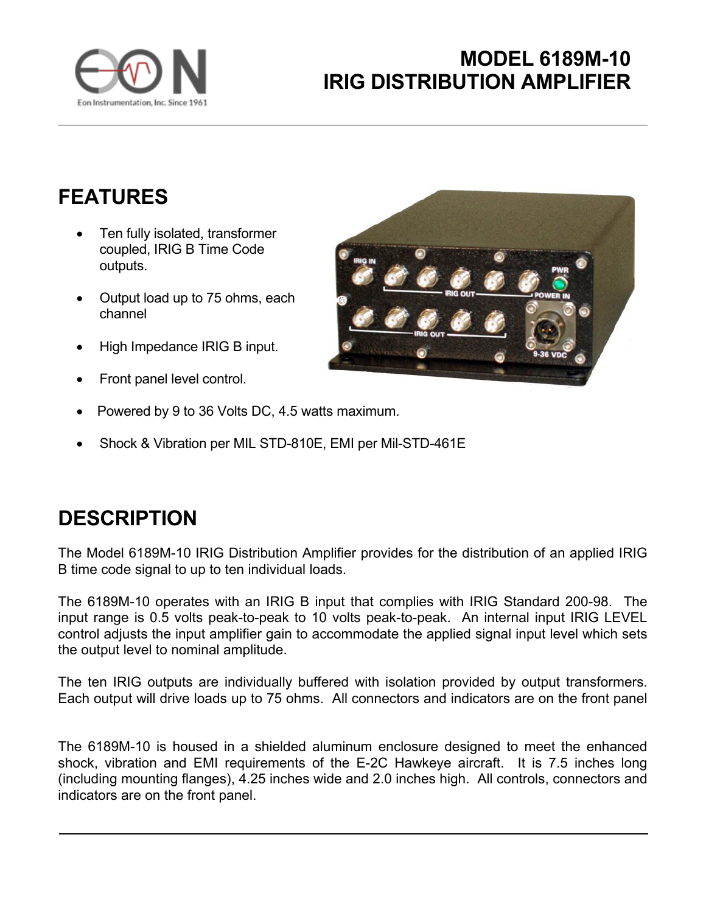

## **MODEL 6189M-10 IRIG DISTRIBUTION AMPLIFIER**

## **FEATURES**

- Ten fully isolated, transformer coupled, IRIG B Time Code outputs.
- Output load up to 75 ohms, each channel
- High Impedance IRIG B input.
- Front panel level control.
- Powered by 9 to 36 Volts DC, 4.5 watts maximum.
- Shock & Vibration per MIL STD-810E, EMI per Mil-STD-461E

## **DESCRIPTION**

The Model 6189M-10 IRIG Distribution Amplifier provides for the distribution of an applied IRIG B time code signal to up to ten individual loads.

The 6189M-10 operates with an IRIG B input that complies with IRIG Standard 200-98. The input range is 0.5 volts peak-to-peak to 10 volts peak-to-peak. An internal input IRIG LEVEL control adjusts the input amplifier gain to accommodate the applied signal input level which sets the output level to nominal amplitude.

The ten IRIG outputs are individually buffered with isolation provided by output transformers. Each output will drive loads up to 75 ohms. All connectors and indicators are on the front panel

The 6189M-10 is housed in a shielded aluminum enclosure designed to meet the enhanced shock, vibration and EMI requirements of the E-2C Hawkeye aircraft. It is 7.5 inches long (including mounting flanges), 4.25 inches wide and 2.0 inches high. All controls, connectors and indicators are on the front panel.